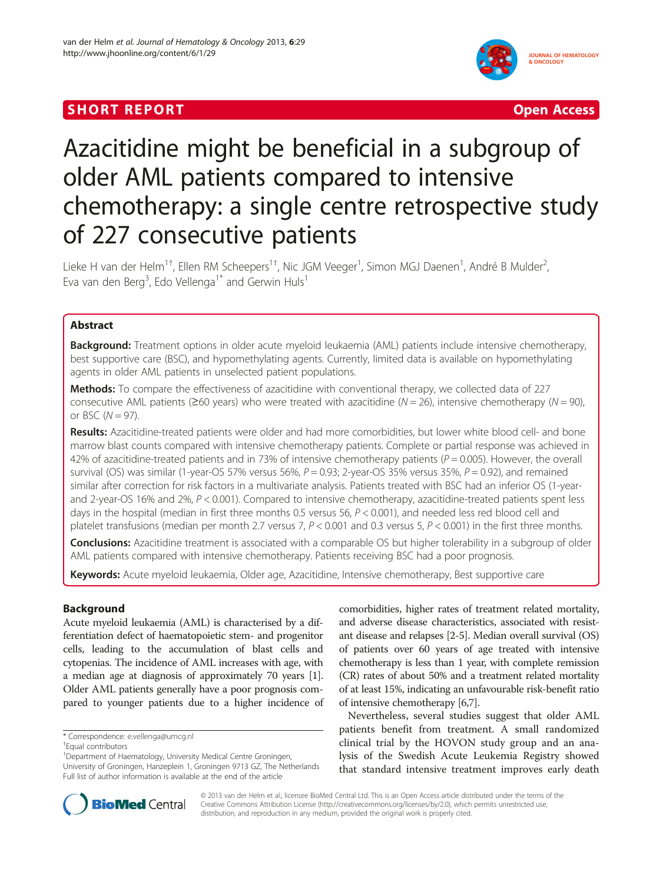# **SHORT REPORT CONSUMING THE CONSUMING THE CONSUMING THE CONSUMING THE CONSUMING THE CONSUMING THE CONSUMING THE CONSUMING THE CONSUMING THE CONSUMING THE CONSUMING THE CONSUMING THE CONSUMING THE CONSUMING THE CONSUMING TH**



# Azacitidine might be beneficial in a subgroup of older AML patients compared to intensive chemotherapy: a single centre retrospective study of 227 consecutive patients

Lieke H van der Helm<sup>1†</sup>, Ellen RM Scheepers<sup>1†</sup>, Nic JGM Veeger<sup>1</sup>, Simon MGJ Daenen<sup>1</sup>, André B Mulder<sup>2</sup> , Eva van den Berg<sup>3</sup>, Edo Vellenga<sup>1\*</sup> and Gerwin Huls<sup>1</sup>

# Abstract

Background: Treatment options in older acute myeloid leukaemia (AML) patients include intensive chemotherapy, best supportive care (BSC), and hypomethylating agents. Currently, limited data is available on hypomethylating agents in older AML patients in unselected patient populations.

Methods: To compare the effectiveness of azacitidine with conventional therapy, we collected data of 227 consecutive AML patients ( $\geq 60$  years) who were treated with azacitidine ( $N = 26$ ), intensive chemotherapy ( $N = 90$ ), or BSC  $(N = 97)$ .

Results: Azacitidine-treated patients were older and had more comorbidities, but lower white blood cell- and bone marrow blast counts compared with intensive chemotherapy patients. Complete or partial response was achieved in 42% of azacitidine-treated patients and in 73% of intensive chemotherapy patients ( $P = 0.005$ ). However, the overall survival (OS) was similar (1-year-OS 57% versus 56%,  $P = 0.93$ ; 2-year-OS 35% versus 35%,  $P = 0.92$ ), and remained similar after correction for risk factors in a multivariate analysis. Patients treated with BSC had an inferior OS (1-yearand 2-year-OS 16% and 2%,  $P < 0.001$ ). Compared to intensive chemotherapy, azacitidine-treated patients spent less days in the hospital (median in first three months 0.5 versus 56,  $P < 0.001$ ), and needed less red blood cell and platelet transfusions (median per month 2.7 versus 7,  $P < 0.001$  and 0.3 versus 5,  $P < 0.001$ ) in the first three months.

**Conclusions:** Azacitidine treatment is associated with a comparable OS but higher tolerability in a subgroup of older AML patients compared with intensive chemotherapy. Patients receiving BSC had a poor prognosis.

Keywords: Acute myeloid leukaemia, Older age, Azacitidine, Intensive chemotherapy, Best supportive care

# Background

Acute myeloid leukaemia (AML) is characterised by a differentiation defect of haematopoietic stem- and progenitor cells, leading to the accumulation of blast cells and cytopenias. The incidence of AML increases with age, with a median age at diagnosis of approximately 70 years [[1](#page-7-0)]. Older AML patients generally have a poor prognosis compared to younger patients due to a higher incidence of

\* Correspondence: [e.vellenga@umcg.nl](mailto:e.vellenga@umcg.nl) †

comorbidities, higher rates of treatment related mortality, and adverse disease characteristics, associated with resistant disease and relapses [\[2](#page-7-0)-[5](#page-7-0)]. Median overall survival (OS) of patients over 60 years of age treated with intensive chemotherapy is less than 1 year, with complete remission (CR) rates of about 50% and a treatment related mortality of at least 15%, indicating an unfavourable risk-benefit ratio of intensive chemotherapy [\[6,7\]](#page-7-0).

Nevertheless, several studies suggest that older AML patients benefit from treatment. A small randomized clinical trial by the HOVON study group and an analysis of the Swedish Acute Leukemia Registry showed that standard intensive treatment improves early death



© 2013 van der Helm et al.; licensee BioMed Central Ltd. This is an Open Access article distributed under the terms of the Creative Commons Attribution License (<http://creativecommons.org/licenses/by/2.0>), which permits unrestricted use, distribution, and reproduction in any medium, provided the original work is properly cited.

Equal contributors

<sup>&</sup>lt;sup>1</sup> Department of Haematology, University Medical Centre Groningen, University of Groningen, Hanzeplein 1, Groningen 9713 GZ, The Netherlands Full list of author information is available at the end of the article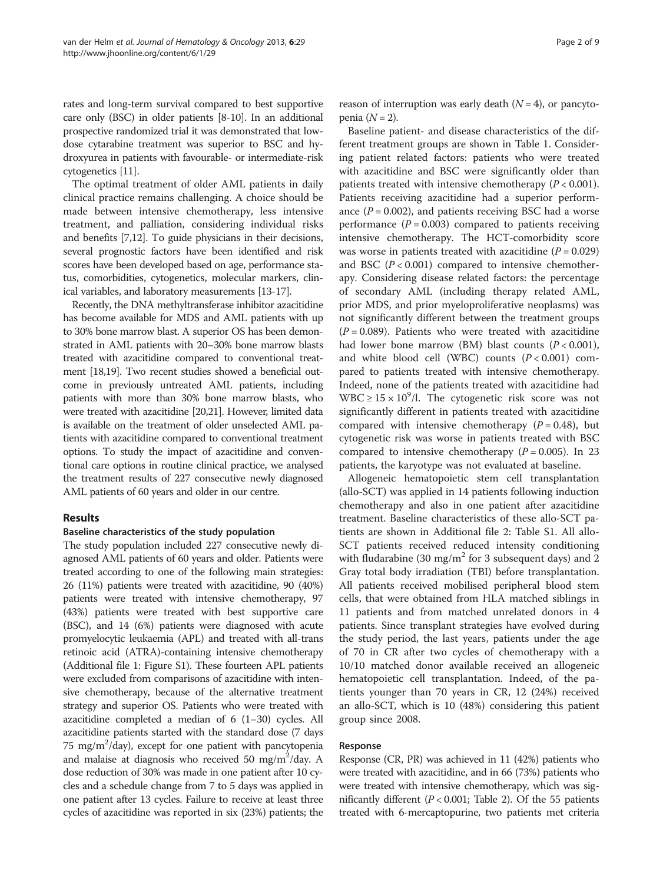rates and long-term survival compared to best supportive care only (BSC) in older patients [[8-10](#page-7-0)]. In an additional prospective randomized trial it was demonstrated that lowdose cytarabine treatment was superior to BSC and hydroxyurea in patients with favourable- or intermediate-risk cytogenetics [\[11\]](#page-7-0).

The optimal treatment of older AML patients in daily clinical practice remains challenging. A choice should be made between intensive chemotherapy, less intensive treatment, and palliation, considering individual risks and benefits [[7,12\]](#page-7-0). To guide physicians in their decisions, several prognostic factors have been identified and risk scores have been developed based on age, performance status, comorbidities, cytogenetics, molecular markers, clinical variables, and laboratory measurements [[13](#page-7-0)-[17](#page-7-0)].

Recently, the DNA methyltransferase inhibitor azacitidine has become available for MDS and AML patients with up to 30% bone marrow blast. A superior OS has been demonstrated in AML patients with 20–30% bone marrow blasts treated with azacitidine compared to conventional treatment [[18,19](#page-7-0)]. Two recent studies showed a beneficial outcome in previously untreated AML patients, including patients with more than 30% bone marrow blasts, who were treated with azacitidine [[20,21](#page-7-0)]. However, limited data is available on the treatment of older unselected AML patients with azacitidine compared to conventional treatment options. To study the impact of azacitidine and conventional care options in routine clinical practice, we analysed the treatment results of 227 consecutive newly diagnosed AML patients of 60 years and older in our centre.

#### Results

#### Baseline characteristics of the study population

The study population included 227 consecutive newly diagnosed AML patients of 60 years and older. Patients were treated according to one of the following main strategies: 26 (11%) patients were treated with azacitidine, 90 (40%) patients were treated with intensive chemotherapy, 97 (43%) patients were treated with best supportive care (BSC), and 14 (6%) patients were diagnosed with acute promyelocytic leukaemia (APL) and treated with all-trans retinoic acid (ATRA)-containing intensive chemotherapy (Additional file [1](#page-6-0): Figure S1). These fourteen APL patients were excluded from comparisons of azacitidine with intensive chemotherapy, because of the alternative treatment strategy and superior OS. Patients who were treated with azacitidine completed a median of 6 (1–30) cycles. All azacitidine patients started with the standard dose (7 days 75 mg/m<sup>2</sup>/day), except for one patient with pancytopenia and malaise at diagnosis who received 50 mg/m<sup>2</sup>/day. A dose reduction of 30% was made in one patient after 10 cycles and a schedule change from 7 to 5 days was applied in one patient after 13 cycles. Failure to receive at least three cycles of azacitidine was reported in six (23%) patients; the reason of interruption was early death  $(N = 4)$ , or pancytopenia  $(N = 2)$ .

Baseline patient- and disease characteristics of the different treatment groups are shown in Table [1](#page-2-0). Considering patient related factors: patients who were treated with azacitidine and BSC were significantly older than patients treated with intensive chemotherapy  $(P < 0.001)$ . Patients receiving azacitidine had a superior performance  $(P = 0.002)$ , and patients receiving BSC had a worse performance  $(P = 0.003)$  compared to patients receiving intensive chemotherapy. The HCT-comorbidity score was worse in patients treated with azacitidine  $(P = 0.029)$ and BSC  $(P< 0.001)$  compared to intensive chemotherapy. Considering disease related factors: the percentage of secondary AML (including therapy related AML, prior MDS, and prior myeloproliferative neoplasms) was not significantly different between the treatment groups  $(P = 0.089)$ . Patients who were treated with azacitidine had lower bone marrow (BM) blast counts  $(P < 0.001)$ , and white blood cell (WBC) counts  $(P < 0.001)$  compared to patients treated with intensive chemotherapy. Indeed, none of the patients treated with azacitidine had WBC  $\geq 15 \times 10^9$ /l. The cytogenetic risk score was not significantly different in patients treated with azacitidine compared with intensive chemotherapy  $(P = 0.48)$ , but cytogenetic risk was worse in patients treated with BSC compared to intensive chemotherapy  $(P = 0.005)$ . In 23 patients, the karyotype was not evaluated at baseline.

Allogeneic hematopoietic stem cell transplantation (allo-SCT) was applied in 14 patients following induction chemotherapy and also in one patient after azacitidine treatment. Baseline characteristics of these allo-SCT patients are shown in Additional file [2](#page-6-0): Table S1. All allo-SCT patients received reduced intensity conditioning with fludarabine (30 mg/m<sup>2</sup> for 3 subsequent days) and 2 Gray total body irradiation (TBI) before transplantation. All patients received mobilised peripheral blood stem cells, that were obtained from HLA matched siblings in 11 patients and from matched unrelated donors in 4 patients. Since transplant strategies have evolved during the study period, the last years, patients under the age of 70 in CR after two cycles of chemotherapy with a 10/10 matched donor available received an allogeneic hematopoietic cell transplantation. Indeed, of the patients younger than 70 years in CR, 12 (24%) received an allo-SCT, which is 10 (48%) considering this patient group since 2008.

#### Response

Response (CR, PR) was achieved in 11 (42%) patients who were treated with azacitidine, and in 66 (73%) patients who were treated with intensive chemotherapy, which was significantly different ( $P < 0.001$ ; Table [2](#page-3-0)). Of the 55 patients treated with 6-mercaptopurine, two patients met criteria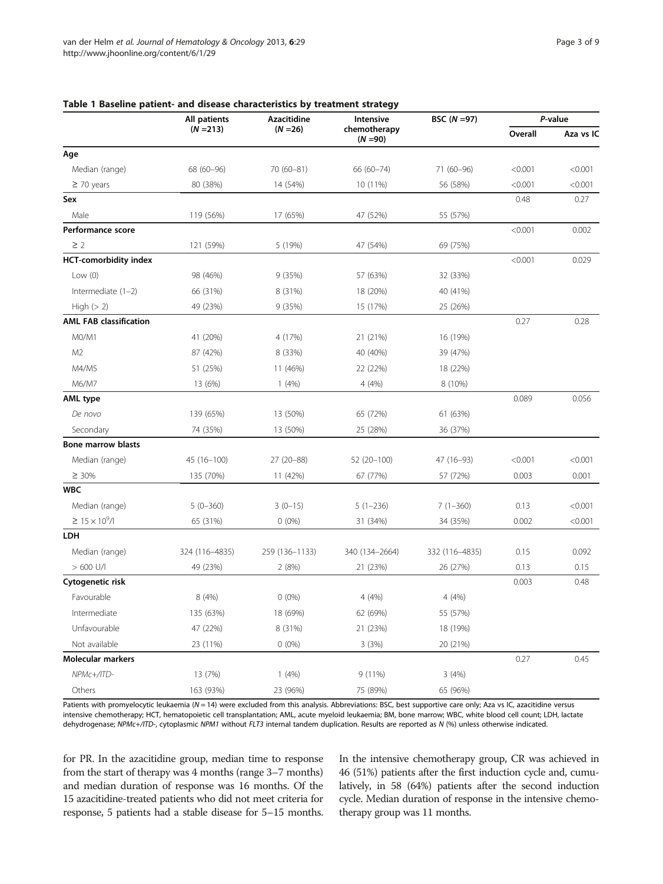|                               | All patients   | <b>Azacitidine</b> | Intensive                  | BSC $(N = 97)$ | P-value |           |
|-------------------------------|----------------|--------------------|----------------------------|----------------|---------|-----------|
|                               | $(N = 213)$    | $(N = 26)$         | chemotherapy<br>$(N = 90)$ |                | Overall | Aza vs IC |
| Age                           |                |                    |                            |                |         |           |
| Median (range)                | 68 (60-96)     | 70 (60-81)         | 66 (60-74)                 | 71 (60-96)     | < 0.001 | < 0.001   |
| $\geq$ 70 years               | 80 (38%)       | 14 (54%)           | 10 (11%)                   | 56 (58%)       | < 0.001 | < 0.001   |
| Sex                           |                |                    |                            |                | 0.48    | 0.27      |
| Male                          | 119 (56%)      | 17 (65%)           | 47 (52%)                   | 55 (57%)       |         |           |
| Performance score             |                |                    |                            |                | < 0.001 | 0.002     |
| $\geq$ 2                      | 121 (59%)      | 5 (19%)            | 47 (54%)                   | 69 (75%)       |         |           |
| <b>HCT-comorbidity index</b>  |                |                    |                            |                | < 0.001 | 0.029     |
| Low $(0)$                     | 98 (46%)       | 9(35%)             | 57 (63%)                   | 32 (33%)       |         |           |
| Intermediate $(1-2)$          | 66 (31%)       | 8 (31%)            | 18 (20%)                   | 40 (41%)       |         |           |
| High $(> 2)$                  | 49 (23%)       | 9(35%)             | 15 (17%)                   | 25 (26%)       |         |           |
| <b>AML FAB classification</b> |                |                    |                            |                | 0.27    | 0.28      |
| M0/M1                         | 41 (20%)       | 4 (17%)            | 21 (21%)                   | 16 (19%)       |         |           |
| M <sub>2</sub>                | 87 (42%)       | 8 (33%)            | 40 (40%)                   | 39 (47%)       |         |           |
| M4/M5                         | 51 (25%)       | 11 (46%)           | 22 (22%)                   | 18 (22%)       |         |           |
| M6/M7                         | 13 (6%)        | 1(4%)              | 4 (4%)                     | 8 (10%)        |         |           |
| <b>AML type</b>               |                |                    |                            |                | 0.089   | 0.056     |
| De novo                       | 139 (65%)      | 13 (50%)           | 65 (72%)                   | 61 (63%)       |         |           |
| Secondary                     | 74 (35%)       | 13 (50%)           | 25 (28%)                   | 36 (37%)       |         |           |
| <b>Bone marrow blasts</b>     |                |                    |                            |                |         |           |
| Median (range)                | 45 (16-100)    | 27 (20-88)         | 52 (20-100)                | 47 (16-93)     | < 0.001 | < 0.001   |
| $\geq 30\%$                   | 135 (70%)      | 11 (42%)           | 67 (77%)                   | 57 (72%)       | 0.003   | 0.001     |
| <b>WBC</b>                    |                |                    |                            |                |         |           |
| Median (range)                | $5(0-360)$     | $3(0-15)$          | $5(1-236)$                 | $7(1-360)$     | 0.13    | < 0.001   |
| ≥ 15 × 10 <sup>9</sup> /I     | 65 (31%)       | $0(0\%)$           | 31 (34%)                   | 34 (35%)       | 0.002   | < 0.001   |
| LDH                           |                |                    |                            |                |         |           |
| Median (range)                | 324 (116-4835) | 259 (136-1133)     | 340 (134-2664)             | 332 (116-4835) | 0.15    | 0.092     |
| $>600$ U/I                    | 49 (23%)       | 2(8%)              | 21 (23%)                   | 26 (27%)       | 0.13    | 0.15      |
| Cytogenetic risk              |                |                    |                            |                | 0.003   | 0.48      |
| Favourable                    | 8 (4%)         | $0(0\%)$           | 4(4%)                      | 4 (4%)         |         |           |
| Intermediate                  | 135 (63%)      | 18 (69%)           | 62 (69%)                   | 55 (57%)       |         |           |
| Unfavourable                  | 47 (22%)       | 8 (31%)            | 21 (23%)                   | 18 (19%)       |         |           |
| Not available                 | 23 (11%)       | $0(0\%)$           | 3(3%)                      | 20 (21%)       |         |           |
| Molecular markers             |                |                    |                            |                | 0.27    | 0.45      |
| NPMc+/ITD-                    | 13 (7%)        | 1(4%)              | 9(11%)                     | 3(4%)          |         |           |
| Others                        | 163 (93%)      | 23 (96%)           | 75 (89%)                   | 65 (96%)       |         |           |

# <span id="page-2-0"></span>Table 1 Baseline patient- and disease characteristics by treatment strategy

Patients with promyelocytic leukaemia (N = 14) were excluded from this analysis. Abbreviations: BSC, best supportive care only; Aza vs IC, azacitidine versus intensive chemotherapy; HCT, hematopoietic cell transplantation; AML, acute myeloid leukaemia; BM, bone marrow; WBC, white blood cell count; LDH, lactate dehydrogenase; NPMc+/ITD-, cytoplasmic NPM1 without FLT3 internal tandem duplication. Results are reported as N (%) unless otherwise indicated.

for PR. In the azacitidine group, median time to response from the start of therapy was 4 months (range 3–7 months) and median duration of response was 16 months. Of the 15 azacitidine-treated patients who did not meet criteria for response, 5 patients had a stable disease for 5–15 months. In the intensive chemotherapy group, CR was achieved in 46 (51%) patients after the first induction cycle and, cumulatively, in 58 (64%) patients after the second induction cycle. Median duration of response in the intensive chemotherapy group was 11 months.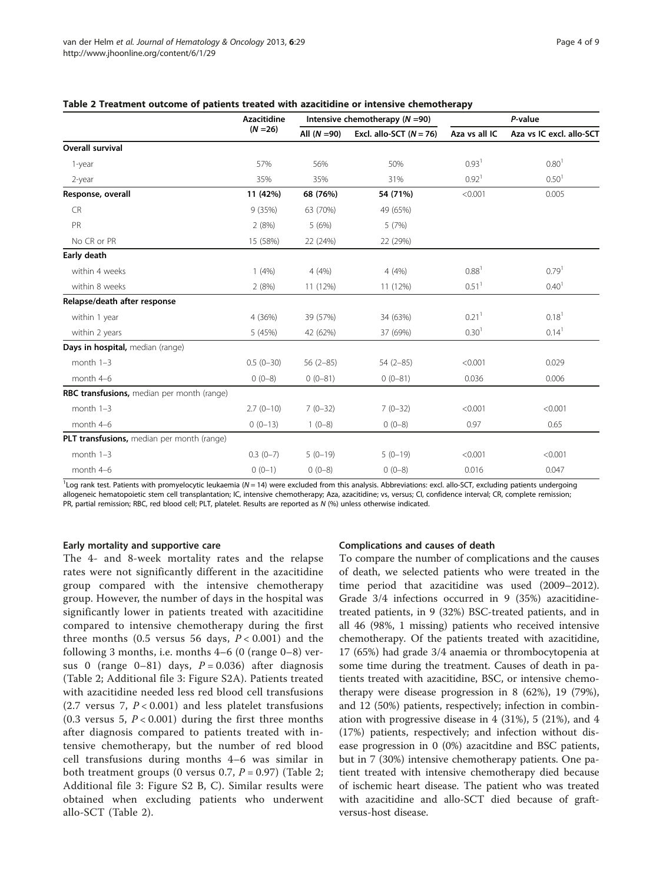|                                            | <b>Azacitidine</b><br>$(N = 26)$ | Intensive chemotherapy ( $N = 90$ ) |                           | P-value           |                          |
|--------------------------------------------|----------------------------------|-------------------------------------|---------------------------|-------------------|--------------------------|
|                                            |                                  | All $(N = 90)$                      | Excl. allo-SCT $(N = 76)$ | Aza vs all IC     | Aza vs IC excl. allo-SCT |
| <b>Overall survival</b>                    |                                  |                                     |                           |                   |                          |
| 1-year                                     | 57%                              | 56%                                 | 50%                       | 0.93 <sup>1</sup> | 0.80 <sup>1</sup>        |
| $2$ -year                                  | 35%                              | 35%                                 | 31%                       | 0.92 <sup>1</sup> | 0.50 <sup>1</sup>        |
| Response, overall                          | 11 (42%)                         | 68 (76%)                            | 54 (71%)                  | < 0.001           | 0.005                    |
| <b>CR</b>                                  | 9(35%)                           | 63 (70%)                            | 49 (65%)                  |                   |                          |
| PR                                         | 2(8%)                            | 5(6%)                               | 5(7%)                     |                   |                          |
| No CR or PR                                | 15 (58%)                         | 22 (24%)                            | 22 (29%)                  |                   |                          |
| Early death                                |                                  |                                     |                           |                   |                          |
| within 4 weeks                             | 1(4%)                            | 4(4%)                               | 4(4%)                     | 0.88 <sup>1</sup> | $0.79$ <sup>1</sup>      |
| within 8 weeks                             | 2(8%)                            | 11 (12%)                            | 11 (12%)                  | 0.51 <sup>1</sup> | 0.40 <sup>1</sup>        |
| Relapse/death after response               |                                  |                                     |                           |                   |                          |
| within 1 year                              | 4 (36%)                          | 39 (57%)                            | 34 (63%)                  | 0.21 <sup>1</sup> | 0.18 <sup>1</sup>        |
| within 2 years                             | 5 (45%)                          | 42 (62%)                            | 37 (69%)                  | 0.30 <sup>1</sup> | 0.14 <sup>1</sup>        |
| Days in hospital, median (range)           |                                  |                                     |                           |                   |                          |
| month $1-3$                                | $0.5(0-30)$                      | $56(2-85)$                          | $54(2-85)$                | < 0.001           | 0.029                    |
| month 4-6                                  | $0(0-8)$                         | $0(0-81)$                           | $0(0-81)$                 | 0.036             | 0.006                    |
| RBC transfusions, median per month (range) |                                  |                                     |                           |                   |                          |
| month $1-3$                                | $2.7(0-10)$                      | $7(0-32)$                           | $7(0-32)$                 | < 0.001           | < 0.001                  |
| month 4-6                                  | $0(0-13)$                        | $1(0-8)$                            | $0(0-8)$                  | 0.97              | 0.65                     |
| PLT transfusions, median per month (range) |                                  |                                     |                           |                   |                          |
| month $1-3$                                | $0.3(0-7)$                       | $5(0-19)$                           | $5(0-19)$                 | < 0.001           | < 0.001                  |
| month 4-6                                  | $0(0-1)$                         | $0(0-8)$                            | $0(0-8)$                  | 0.016             | 0.047                    |

#### <span id="page-3-0"></span>Table 2 Treatment outcome of patients treated with azacitidine or intensive chemotherapy

<sup>1</sup>Log rank test. Patients with promyelocytic leukaemia (N=14) were excluded from this analysis. Abbreviations: excl. allo-SCT, excluding patients undergoing<br>allogeneic hematopoietic stem cell transplantation: IC intensive allogeneic hematopoietic stem cell transplantation; IC, intensive chemotherapy; Aza, azacitidine; vs, versus; CI, confidence interval; CR, complete remission; PR, partial remission; RBC, red blood cell; PLT, platelet. Results are reported as N (%) unless otherwise indicated.

#### Early mortality and supportive care

The 4- and 8-week mortality rates and the relapse rates were not significantly different in the azacitidine group compared with the intensive chemotherapy group. However, the number of days in the hospital was significantly lower in patients treated with azacitidine compared to intensive chemotherapy during the first three months (0.5 versus 56 days,  $P < 0.001$ ) and the following 3 months, i.e. months  $4-6$  (0 (range  $0-8$ ) versus 0 (range  $0-81$ ) days,  $P = 0.036$ ) after diagnosis (Table 2; Additional file [3](#page-6-0): Figure S2A). Patients treated with azacitidine needed less red blood cell transfusions (2.7 versus 7,  $P < 0.001$ ) and less platelet transfusions (0.3 versus 5,  $P < 0.001$ ) during the first three months after diagnosis compared to patients treated with intensive chemotherapy, but the number of red blood cell transfusions during months 4–6 was similar in both treatment groups (0 versus 0.7,  $P = 0.97$ ) (Table 2; Additional file [3:](#page-6-0) Figure S2 B, C). Similar results were obtained when excluding patients who underwent allo-SCT (Table 2).

#### Complications and causes of death

To compare the number of complications and the causes of death, we selected patients who were treated in the time period that azacitidine was used (2009–2012). Grade 3/4 infections occurred in 9 (35%) azacitidinetreated patients, in 9 (32%) BSC-treated patients, and in all 46 (98%, 1 missing) patients who received intensive chemotherapy. Of the patients treated with azacitidine, 17 (65%) had grade 3/4 anaemia or thrombocytopenia at some time during the treatment. Causes of death in patients treated with azacitidine, BSC, or intensive chemotherapy were disease progression in 8 (62%), 19 (79%), and 12 (50%) patients, respectively; infection in combination with progressive disease in 4 (31%), 5 (21%), and 4 (17%) patients, respectively; and infection without disease progression in 0 (0%) azacitdine and BSC patients, but in 7 (30%) intensive chemotherapy patients. One patient treated with intensive chemotherapy died because of ischemic heart disease. The patient who was treated with azacitidine and allo-SCT died because of graftversus-host disease.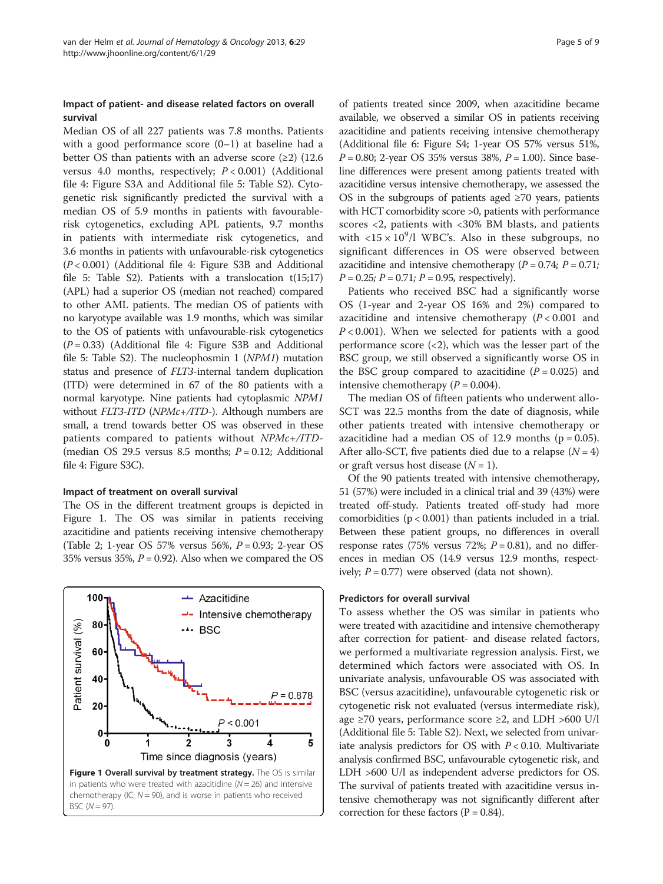### Impact of patient- and disease related factors on overall survival

Median OS of all 227 patients was 7.8 months. Patients with a good performance score (0–1) at baseline had a better OS than patients with an adverse score  $(\geq 2)$  (12.6) versus 4.0 months, respectively;  $P < 0.001$ ) (Additional file [4](#page-6-0): Figure S3A and Additional file [5:](#page-6-0) Table S2). Cytogenetic risk significantly predicted the survival with a median OS of 5.9 months in patients with favourablerisk cytogenetics, excluding APL patients, 9.7 months in patients with intermediate risk cytogenetics, and 3.6 months in patients with unfavourable-risk cytogenetics (P < 0.001) (Additional file [4](#page-6-0): Figure S3B and Additional file [5:](#page-6-0) Table S2). Patients with a translocation  $t(15;17)$ (APL) had a superior OS (median not reached) compared to other AML patients. The median OS of patients with no karyotype available was 1.9 months, which was similar to the OS of patients with unfavourable-risk cytogenetics  $(P = 0.33)$  (Additional file [4:](#page-6-0) Figure S3B and Additional file [5:](#page-6-0) Table S2). The nucleophosmin 1 (NPM1) mutation status and presence of FLT3-internal tandem duplication (ITD) were determined in 67 of the 80 patients with a normal karyotype. Nine patients had cytoplasmic NPM1 without FLT3-ITD (NPMc+/ITD-). Although numbers are small, a trend towards better OS was observed in these patients compared to patients without NPMc+/ITD- (median OS 29.5 versus 8.5 months;  $P = 0.12$ ; Additional file [4:](#page-6-0) Figure S3C).

#### Impact of treatment on overall survival

The OS in the different treatment groups is depicted in Figure 1. The OS was similar in patients receiving azacitidine and patients receiving intensive chemotherapy (Table [2;](#page-3-0) 1-year OS 57% versus 56%,  $P = 0.93$ ; 2-year OS 35% versus 35%,  $P = 0.92$ ). Also when we compared the OS



of patients treated since 2009, when azacitidine became available, we observed a similar OS in patients receiving azacitidine and patients receiving intensive chemotherapy (Additional file [6](#page-6-0): Figure S4; 1-year OS 57% versus 51%,  $P = 0.80$ ; 2-year OS 35% versus 38%,  $P = 1.00$ ). Since baseline differences were present among patients treated with azacitidine versus intensive chemotherapy, we assessed the OS in the subgroups of patients aged  $\geq 70$  years, patients with HCT comorbidity score >0, patients with performance scores <2, patients with <30% BM blasts, and patients with  $\langle 15 \times 10^9 / l$  WBC's. Also in these subgroups, no significant differences in OS were observed between azacitidine and intensive chemotherapy  $(P = 0.74; P = 0.71;$  $P = 0.25$ ;  $P = 0.71$ ;  $P = 0.95$ , respectively).

Patients who received BSC had a significantly worse OS (1-year and 2-year OS 16% and 2%) compared to azacitidine and intensive chemotherapy  $(P < 0.001$  and  $P < 0.001$ ). When we selected for patients with a good performance score  $\left( \langle 2 \rangle \right)$ , which was the lesser part of the BSC group, we still observed a significantly worse OS in the BSC group compared to azacitidine  $(P = 0.025)$  and intensive chemotherapy  $(P = 0.004)$ .

The median OS of fifteen patients who underwent allo-SCT was 22.5 months from the date of diagnosis, while other patients treated with intensive chemotherapy or azacitidine had a median OS of 12.9 months ( $p = 0.05$ ). After allo-SCT, five patients died due to a relapse  $(N = 4)$ or graft versus host disease  $(N = 1)$ .

Of the 90 patients treated with intensive chemotherapy, 51 (57%) were included in a clinical trial and 39 (43%) were treated off-study. Patients treated off-study had more comorbidities (p < 0.001) than patients included in a trial. Between these patient groups, no differences in overall response rates (75% versus 72%;  $P = 0.81$ ), and no differences in median OS (14.9 versus 12.9 months, respectively;  $P = 0.77$ ) were observed (data not shown).

#### Predictors for overall survival

To assess whether the OS was similar in patients who were treated with azacitidine and intensive chemotherapy after correction for patient- and disease related factors, we performed a multivariate regression analysis. First, we determined which factors were associated with OS. In univariate analysis, unfavourable OS was associated with BSC (versus azacitidine), unfavourable cytogenetic risk or cytogenetic risk not evaluated (versus intermediate risk), age ≥70 years, performance score ≥2, and LDH >600 U/l (Additional file [5](#page-6-0): Table S2). Next, we selected from univariate analysis predictors for OS with  $P < 0.10$ . Multivariate analysis confirmed BSC, unfavourable cytogenetic risk, and LDH >600 U/l as independent adverse predictors for OS. The survival of patients treated with azacitidine versus intensive chemotherapy was not significantly different after correction for these factors ( $P = 0.84$ ).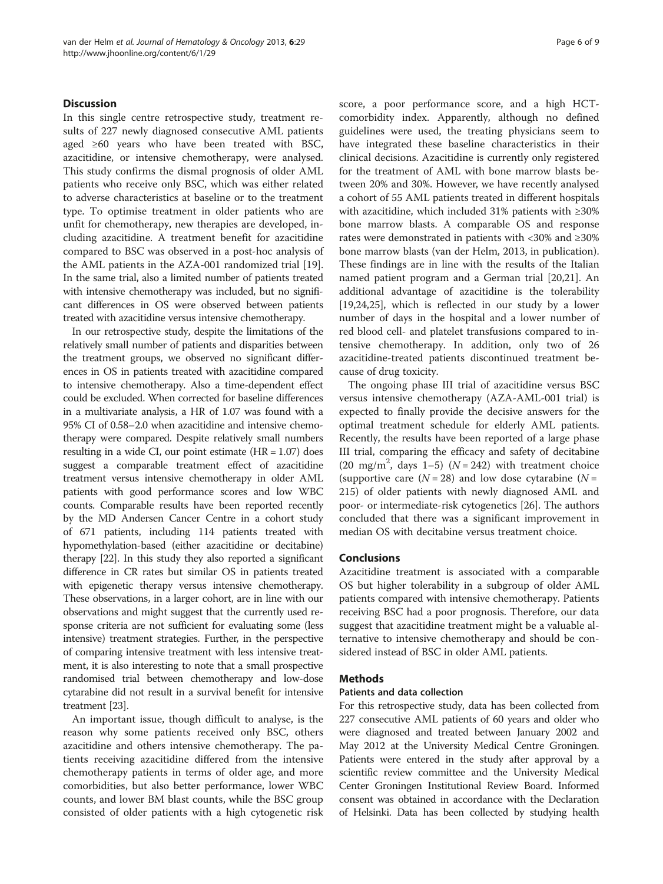#### Discussion

In this single centre retrospective study, treatment results of 227 newly diagnosed consecutive AML patients aged  $\geq 60$  years who have been treated with BSC, azacitidine, or intensive chemotherapy, were analysed. This study confirms the dismal prognosis of older AML patients who receive only BSC, which was either related to adverse characteristics at baseline or to the treatment type. To optimise treatment in older patients who are unfit for chemotherapy, new therapies are developed, including azacitidine. A treatment benefit for azacitidine compared to BSC was observed in a post-hoc analysis of the AML patients in the AZA-001 randomized trial [\[19](#page-7-0)]. In the same trial, also a limited number of patients treated with intensive chemotherapy was included, but no significant differences in OS were observed between patients treated with azacitidine versus intensive chemotherapy.

In our retrospective study, despite the limitations of the relatively small number of patients and disparities between the treatment groups, we observed no significant differences in OS in patients treated with azacitidine compared to intensive chemotherapy. Also a time-dependent effect could be excluded. When corrected for baseline differences in a multivariate analysis, a HR of 1.07 was found with a 95% CI of 0.58–2.0 when azacitidine and intensive chemotherapy were compared. Despite relatively small numbers resulting in a wide CI, our point estimate (HR = 1.07) does suggest a comparable treatment effect of azacitidine treatment versus intensive chemotherapy in older AML patients with good performance scores and low WBC counts. Comparable results have been reported recently by the MD Andersen Cancer Centre in a cohort study of 671 patients, including 114 patients treated with hypomethylation-based (either azacitidine or decitabine) therapy [\[22](#page-7-0)]. In this study they also reported a significant difference in CR rates but similar OS in patients treated with epigenetic therapy versus intensive chemotherapy. These observations, in a larger cohort, are in line with our observations and might suggest that the currently used response criteria are not sufficient for evaluating some (less intensive) treatment strategies. Further, in the perspective of comparing intensive treatment with less intensive treatment, it is also interesting to note that a small prospective randomised trial between chemotherapy and low-dose cytarabine did not result in a survival benefit for intensive treatment [\[23](#page-7-0)].

An important issue, though difficult to analyse, is the reason why some patients received only BSC, others azacitidine and others intensive chemotherapy. The patients receiving azacitidine differed from the intensive chemotherapy patients in terms of older age, and more comorbidities, but also better performance, lower WBC counts, and lower BM blast counts, while the BSC group consisted of older patients with a high cytogenetic risk

score, a poor performance score, and a high HCTcomorbidity index. Apparently, although no defined guidelines were used, the treating physicians seem to have integrated these baseline characteristics in their clinical decisions. Azacitidine is currently only registered for the treatment of AML with bone marrow blasts between 20% and 30%. However, we have recently analysed a cohort of 55 AML patients treated in different hospitals with azacitidine, which included 31% patients with ≥30% bone marrow blasts. A comparable OS and response rates were demonstrated in patients with <30% and ≥30% bone marrow blasts (van der Helm, 2013, in publication). These findings are in line with the results of the Italian named patient program and a German trial [\[20,21\]](#page-7-0). An additional advantage of azacitidine is the tolerability [[19,24,25\]](#page-7-0), which is reflected in our study by a lower number of days in the hospital and a lower number of red blood cell- and platelet transfusions compared to intensive chemotherapy. In addition, only two of 26 azacitidine-treated patients discontinued treatment because of drug toxicity.

The ongoing phase III trial of azacitidine versus BSC versus intensive chemotherapy (AZA-AML-001 trial) is expected to finally provide the decisive answers for the optimal treatment schedule for elderly AML patients. Recently, the results have been reported of a large phase III trial, comparing the efficacy and safety of decitabine (20 mg/m<sup>2</sup>, days 1-5) ( $N = 242$ ) with treatment choice (supportive care  $(N = 28)$  and low dose cytarabine  $(N = 128)$ 215) of older patients with newly diagnosed AML and poor- or intermediate-risk cytogenetics [[26\]](#page-7-0). The authors concluded that there was a significant improvement in median OS with decitabine versus treatment choice.

# Conclusions

Azacitidine treatment is associated with a comparable OS but higher tolerability in a subgroup of older AML patients compared with intensive chemotherapy. Patients receiving BSC had a poor prognosis. Therefore, our data suggest that azacitidine treatment might be a valuable alternative to intensive chemotherapy and should be considered instead of BSC in older AML patients.

#### Methods

#### Patients and data collection

For this retrospective study, data has been collected from 227 consecutive AML patients of 60 years and older who were diagnosed and treated between January 2002 and May 2012 at the University Medical Centre Groningen. Patients were entered in the study after approval by a scientific review committee and the University Medical Center Groningen Institutional Review Board. Informed consent was obtained in accordance with the Declaration of Helsinki. Data has been collected by studying health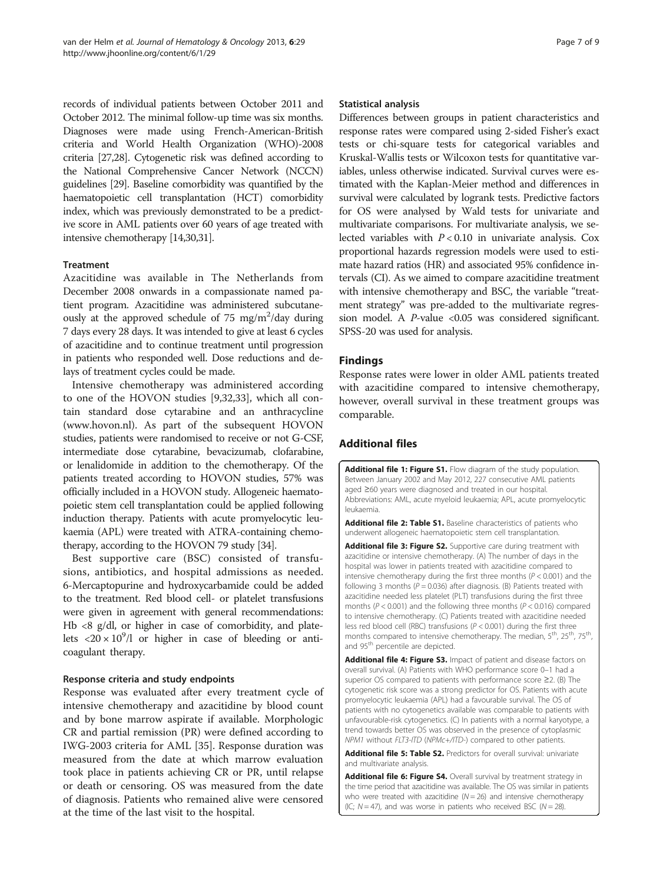<span id="page-6-0"></span>records of individual patients between October 2011 and October 2012. The minimal follow-up time was six months. Diagnoses were made using French-American-British criteria and World Health Organization (WHO)-2008 criteria [\[27,28\]](#page-7-0). Cytogenetic risk was defined according to the National Comprehensive Cancer Network (NCCN) guidelines [\[29](#page-7-0)]. Baseline comorbidity was quantified by the haematopoietic cell transplantation (HCT) comorbidity index, which was previously demonstrated to be a predictive score in AML patients over 60 years of age treated with intensive chemotherapy [\[14,](#page-7-0)[30,31](#page-8-0)].

#### Treatment

Azacitidine was available in The Netherlands from December 2008 onwards in a compassionate named patient program. Azacitidine was administered subcutaneously at the approved schedule of  $75 \text{ mg/m}^2/\text{day}$  during 7 days every 28 days. It was intended to give at least 6 cycles of azacitidine and to continue treatment until progression in patients who responded well. Dose reductions and delays of treatment cycles could be made.

Intensive chemotherapy was administered according to one of the HOVON studies [\[9](#page-7-0)[,32,33](#page-8-0)], which all contain standard dose cytarabine and an anthracycline ([www.hovon.nl](http://www.hovon.nl)). As part of the subsequent HOVON studies, patients were randomised to receive or not G-CSF, intermediate dose cytarabine, bevacizumab, clofarabine, or lenalidomide in addition to the chemotherapy. Of the patients treated according to HOVON studies, 57% was officially included in a HOVON study. Allogeneic haematopoietic stem cell transplantation could be applied following induction therapy. Patients with acute promyelocytic leukaemia (APL) were treated with ATRA-containing chemotherapy, according to the HOVON 79 study [\[34\]](#page-8-0).

Best supportive care (BSC) consisted of transfusions, antibiotics, and hospital admissions as needed. 6-Mercaptopurine and hydroxycarbamide could be added to the treatment. Red blood cell- or platelet transfusions were given in agreement with general recommendations: Hb <8 g/dl, or higher in case of comorbidity, and platelets  $\langle 20 \times 10^9 / 1 \rangle$  or higher in case of bleeding or anticoagulant therapy.

#### Response criteria and study endpoints

Response was evaluated after every treatment cycle of intensive chemotherapy and azacitidine by blood count and by bone marrow aspirate if available. Morphologic CR and partial remission (PR) were defined according to IWG-2003 criteria for AML [\[35\]](#page-8-0). Response duration was measured from the date at which marrow evaluation took place in patients achieving CR or PR, until relapse or death or censoring. OS was measured from the date of diagnosis. Patients who remained alive were censored at the time of the last visit to the hospital.

#### Statistical analysis

Differences between groups in patient characteristics and response rates were compared using 2-sided Fisher's exact tests or chi-square tests for categorical variables and Kruskal-Wallis tests or Wilcoxon tests for quantitative variables, unless otherwise indicated. Survival curves were estimated with the Kaplan-Meier method and differences in survival were calculated by logrank tests. Predictive factors for OS were analysed by Wald tests for univariate and multivariate comparisons. For multivariate analysis, we selected variables with  $P < 0.10$  in univariate analysis. Cox proportional hazards regression models were used to estimate hazard ratios (HR) and associated 95% confidence intervals (CI). As we aimed to compare azacitidine treatment with intensive chemotherapy and BSC, the variable "treatment strategy" was pre-added to the multivariate regression model. A  $P$ -value <0.05 was considered significant. SPSS-20 was used for analysis.

#### Findings

Response rates were lower in older AML patients treated with azacitidine compared to intensive chemotherapy, however, overall survival in these treatment groups was comparable.

# Additional files

[Additional file 1: Figure S1.](http://www.biomedcentral.com/content/supplementary/1756-8722-6-29-S1.tiff) Flow diagram of the study population. Between January 2002 and May 2012, 227 consecutive AML patients aged ≥60 years were diagnosed and treated in our hospital. Abbreviations: AML, acute myeloid leukaemia; APL, acute promyelocytic leukaemia.

[Additional file 2: Table S1.](http://www.biomedcentral.com/content/supplementary/1756-8722-6-29-S2.doc) Baseline characteristics of patients who underwent allogeneic haematopoietic stem cell transplantation.

[Additional file 3: Figure S2.](http://www.biomedcentral.com/content/supplementary/1756-8722-6-29-S3.tiff) Supportive care during treatment with azacitidine or intensive chemotherapy. (A) The number of days in the hospital was lower in patients treated with azacitidine compared to intensive chemotherapy during the first three months ( $P < 0.001$ ) and the following 3 months ( $P = 0.036$ ) after diagnosis. (B) Patients treated with azacitidine needed less platelet (PLT) transfusions during the first three months ( $P < 0.001$ ) and the following three months ( $P < 0.016$ ) compared to intensive chemotherapy. (C) Patients treated with azacitidine needed less red blood cell (RBC) transfusions ( $P < 0.001$ ) during the first three months compared to intensive chemotherapy. The median, 5<sup>th</sup>, 25<sup>th</sup>, 75<sup>th</sup>, and 95<sup>th</sup> percentile are depicted.

[Additional file 4: Figure S3.](http://www.biomedcentral.com/content/supplementary/1756-8722-6-29-S4.tiff) Impact of patient and disease factors on overall survival. (A) Patients with WHO performance score 0–1 had a superior OS compared to patients with performance score ≥2. (B) The cytogenetic risk score was a strong predictor for OS. Patients with acute promyelocytic leukaemia (APL) had a favourable survival. The OS of patients with no cytogenetics available was comparable to patients with unfavourable-risk cytogenetics. (C) In patients with a normal karyotype, a trend towards better OS was observed in the presence of cytoplasmic NPM1 without FLT3-ITD (NPMc+/ITD-) compared to other patients.

[Additional file 5: Table S2.](http://www.biomedcentral.com/content/supplementary/1756-8722-6-29-S5.doc) Predictors for overall survival: univariate and multivariate analysis.

[Additional file 6: Figure S4.](http://www.biomedcentral.com/content/supplementary/1756-8722-6-29-S6.tiff) Overall survival by treatment strategy in the time period that azacitidine was available. The OS was similar in patients who were treated with azacitidine ( $N = 26$ ) and intensive chemotherapy (IC;  $N = 47$ ), and was worse in patients who received BSC ( $N = 28$ ).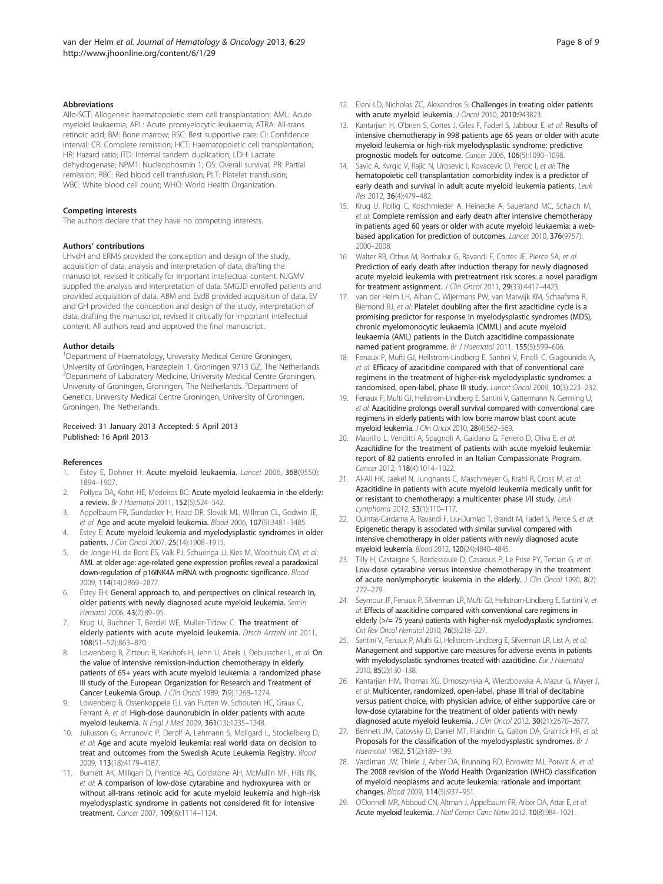#### <span id="page-7-0"></span>Abbreviations

Allo-SCT: Allogeneic haematopoietic stem cell transplantation; AML: Acute myeloid leukaemia; APL: Acute promyelocytic leukaemia; ATRA: All-trans retinoic acid; BM: Bone marrow; BSC: Best supportive care; CI: Confidence interval; CR: Complete remission; HCT: Haematopoietic cell transplantation; HR: Hazard ratio; ITD: Internal tandem duplication; LDH: Lactate dehydrogenase; NPM1: Nucleophosmin 1; OS: Overall survival; PR: Partial remission; RBC: Red blood cell transfusion; PLT: Platelet transfusion; WBC: White blood cell count; WHO: World Health Organization.

#### Competing interests

The authors declare that they have no competing interests.

#### Authors' contributions

LHvdH and ERMS provided the conception and design of the study, acquisition of data, analysis and interpretation of data, drafting the manuscript, revised it critically for important intellectual content. NJGMV supplied the analysis and interpretation of data. SMGJD enrolled patients and provided acquisition of data. ABM and EvdB provided acquisition of data. EV and GH provided the conception and design of the study, interpretation of data, drafting the manuscript, revised it critically for important intellectual content. All authors read and approved the final manuscript.

#### Author details

<sup>1</sup>Department of Haematology, University Medical Centre Groningen, University of Groningen, Hanzeplein 1, Groningen 9713 GZ, The Netherlands. <sup>2</sup> Department of Laboratory Medicine, University Medical Centre Groningen, University of Groningen, Groningen, The Netherlands. <sup>3</sup>Department of Genetics, University Medical Centre Groningen, University of Groningen, Groningen, The Netherlands.

#### Received: 31 January 2013 Accepted: 5 April 2013 Published: 16 April 2013

#### References

- 1. Estey E, Dohner H: Acute myeloid leukaemia. Lancet 2006, 368(9550): 1894–1907.
- Pollyea DA, Kohrt HE, Medeiros BC: Acute myeloid leukaemia in the elderly: a review. Br J Haematol 2011, 152(5):524–542.
- 3. Appelbaum FR, Gundacker H, Head DR, Slovak ML, Willman CL, Godwin JE, et al: Age and acute myeloid leukemia. Blood 2006, 107(9):3481–3485.
- 4. Estey E: Acute myeloid leukemia and myelodysplastic syndromes in older patients. J Clin Oncol 2007, 25(14):1908–1915.
- 5. de Jonge HJ, de Bont ES, Valk PJ, Schuringa JJ, Kies M, Woolthuis CM, et al: AML at older age: age-related gene expression profiles reveal a paradoxical down-regulation of p16INK4A mRNA with prognostic significance. Blood 2009, 114(14):2869–2877.
- 6. Estey EH: General approach to, and perspectives on clinical research in, older patients with newly diagnosed acute myeloid leukemia. Semin Hematol 2006, 43(2):89–95.
- 7. Krug U, Buchner T, Berdel WE, Muller-Tidow C: The treatment of elderly patients with acute myeloid leukemia. Dtsch Arztebl Int 2011, 108(51–52):863–870.
- Lowenberg B, Zittoun R, Kerkhofs H, Jehn U, Abels J, Debusscher L, et al: On the value of intensive remission-induction chemotherapy in elderly patients of 65+ years with acute myeloid leukemia: a randomized phase III study of the European Organization for Research and Treatment of Cancer Leukemia Group. J Clin Oncol 1989, 7(9):1268–1274.
- Lowenberg B, Ossenkoppele GJ, van Putten W, Schouten HC, Graux C, Ferrant A, et al: High-dose daunorubicin in older patients with acute myeloid leukemia. N Engl J Med 2009, 361(13):1235–1248.
- 10. Juliusson G, Antunovic P, Derolf A, Lehmann S, Mollgard L, Stockelberg D, et al: Age and acute myeloid leukemia: real world data on decision to treat and outcomes from the Swedish Acute Leukemia Registry. Blood 2009, 113(18):4179–4187.
- 11. Burnett AK, Milligan D, Prentice AG, Goldstone AH, McMullin MF, Hills RK, et al: A comparison of low-dose cytarabine and hydroxyurea with or without all-trans retinoic acid for acute myeloid leukemia and high-risk myelodysplastic syndrome in patients not considered fit for intensive treatment. Cancer 2007, 109(6):1114–1124.
- 12. Eleni LD, Nicholas ZC, Alexandros S: Challenges in treating older patients with acute myeloid leukemia. J Oncol 2010, 2010:943823.
- 13. Kantarjian H, O'brien S, Cortes J, Giles F, Faderl S, Jabbour E, et al: Results of intensive chemotherapy in 998 patients age 65 years or older with acute myeloid leukemia or high-risk myelodysplastic syndrome: predictive prognostic models for outcome. Cancer 2006, 106(5):1090–1098.
- 14. Savic A, Kvrgic V, Rajic N, Urosevic I, Kovacevic D, Percic I, et al: The hematopoietic cell transplantation comorbidity index is a predictor of early death and survival in adult acute myeloid leukemia patients. Leuk Res 2012, 36(4):479–482.
- 15. Krug U, Rollig C, Koschmieder A, Heinecke A, Sauerland MC, Schaich M, et al: Complete remission and early death after intensive chemotherapy in patients aged 60 years or older with acute myeloid leukaemia: a webbased application for prediction of outcomes. Lancet 2010, 376(9757): 2000–2008.
- 16. Walter RB, Othus M, Borthakur G, Ravandi F, Cortes JE, Pierce SA, et al: Prediction of early death after induction therapy for newly diagnosed acute myeloid leukemia with pretreatment risk scores: a novel paradigm for treatment assignment. J Clin Oncol 2011, 29(33):4417-4423.
- 17. van der Helm LH, Alhan C, Wijermans PW, van Marwijk KM, Schaafsma R, Biemond BJ, et al: Platelet doubling after the first azacitidine cycle is a promising predictor for response in myelodysplastic syndromes (MDS), chronic myelomonocytic leukaemia (CMML) and acute myeloid leukaemia (AML) patients in the Dutch azacitidine compassionate named patient programme. Br J Haematol 2011, 155(5):599-606.
- 18. Fenaux P, Mufti GJ, Hellstrom-Lindberg E, Santini V, Finelli C, Giagounidis A, et al: Efficacy of azacitidine compared with that of conventional care regimens in the treatment of higher-risk myelodysplastic syndromes: a randomised, open-label, phase III study. Lancet Oncol 2009, 10(3):223–232.
- 19. Fenaux P, Mufti GJ, Hellstrom-Lindberg E, Santini V, Gattermann N, Germing U, et al: Azacitidine prolongs overall survival compared with conventional care regimens in elderly patients with low bone marrow blast count acute myeloid leukemia. J Clin Oncol 2010, 28(4):562–569.
- 20. Maurillo L, Venditti A, Spagnoli A, Gaidano G, Ferrero D, Oliva E, et al: Azacitidine for the treatment of patients with acute myeloid leukemia: report of 82 patients enrolled in an Italian Compassionate Program. Cancer 2012, 118(4):1014–1022.
- 21. Al-Ali HK, Jaekel N, Junghanss C, Maschmeyer G, Krahl R, Cross M, et al: Azacitidine in patients with acute myeloid leukemia medically unfit for or resistant to chemotherapy: a multicenter phase I/II study. Leuk Lymphoma 2012, 53(1):110–117.
- 22. Quintas-Cardama A, Ravandi F, Liu-Dumlao T, Brandt M, Faderl S, Pierce S, et al: Epigenetic therapy is associated with similar survival compared with intensive chemotherapy in older patients with newly diagnosed acute myeloid leukemia. Blood 2012, 120(24):4840–4845.
- 23. Tilly H, Castaigne S, Bordessoule D, Casassus P, Le Prise PY, Tertian G, et al: Low-dose cytarabine versus intensive chemotherapy in the treatment of acute nonlymphocytic leukemia in the elderly. J Clin Oncol 1990, 8(2): 272–279.
- 24. Seymour JF, Fenaux P, Silverman LR, Mufti GJ, Hellstrom-Lindberg E, Santini V, et al: Effects of azacitidine compared with conventional care regimens in elderly (>/= 75 years) patients with higher-risk myelodysplastic syndromes. Crit Rev Oncol Hematol 2010, 76(3):218–227.
- 25. Santini V, Fenaux P, Mufti GJ, Hellstrom-Lindberg E, Silverman LR, List A, et al: Management and supportive care measures for adverse events in patients with myelodysplastic syndromes treated with azacitidine. Eur J Haematol 2010, 85(2):130–138.
- 26. Kantarjian HM, Thomas XG, Dmoszynska A, Wierzbowska A, Mazur G, Mayer J, et al: Multicenter, randomized, open-label, phase III trial of decitabine versus patient choice, with physician advice, of either supportive care or low-dose cytarabine for the treatment of older patients with newly diagnosed acute myeloid leukemia. J Clin Oncol 2012, 30(21):2670-2677.
- 27. Bennett JM, Catovsky D, Daniel MT, Flandrin G, Galton DA, Gralnick HR, et al: Proposals for the classification of the myelodysplastic syndromes. Br J Haematol 1982, 51(2):189–199.
- 28. Vardiman JW, Thiele J, Arber DA, Brunning RD, Borowitz MJ, Porwit A, et al: The 2008 revision of the World Health Organization (WHO) classification of myeloid neoplasms and acute leukemia: rationale and important changes. Blood 2009, 114(5):937–951.
- 29. O'Donnell MR, Abboud CN, Altman J, Appelbaum FR, Arber DA, Attar E, et al: Acute myeloid leukemia. J Natl Compr Canc Netw 2012, 10(8):984–1021.